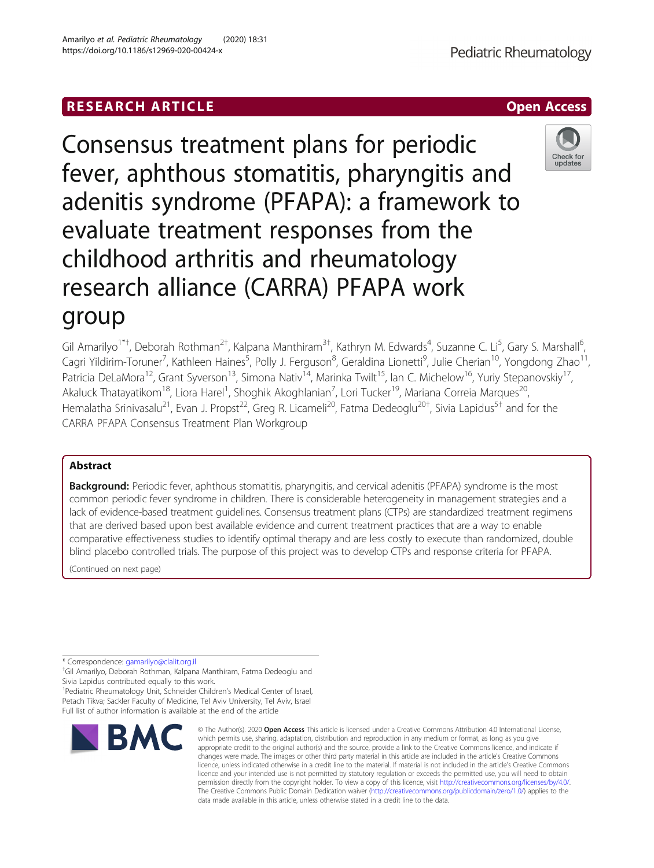# RESEARCH ARTICLE **External of the Contract Contract Contract Contract Contract Contract Contract Contract Contract Contract Contract Contract Contract Contract Contract Contract Contract Contract Contract Contract Contract**

Consensus treatment plans for periodic fever, aphthous stomatitis, pharyngitis and adenitis syndrome (PFAPA): a framework to evaluate treatment responses from the childhood arthritis and rheumatology research alliance (CARRA) PFAPA work group

Gil Amarilyo<sup>1\*†</sup>, Deborah Rothman<sup>2†</sup>, Kalpana Manthiram<sup>3†</sup>, Kathryn M. Edwards<sup>4</sup>, Suzanne C. Li<sup>5</sup>, Gary S. Marshall<sup>6</sup> י<br>, Cagri Yildirim-Toruner<sup>7</sup>, Kathleen Haines<sup>5</sup>, Polly J. Ferguson<sup>8</sup>, Geraldina Lionetti<sup>9</sup>, Julie Cherian<sup>10</sup>, Yongdong Zhao<sup>11</sup>, Patricia DeLaMora<sup>12</sup>, Grant Syverson<sup>13</sup>, Simona Nativ<sup>14</sup>, Marinka Twilt<sup>15</sup>, Ian C. Michelow<sup>16</sup>, Yuriy Stepanovskiy<sup>17</sup>, Akaluck Thatayatikom<sup>18</sup>, Liora Harel<sup>1</sup>, Shoghik Akoghlanian<sup>7</sup>, Lori Tucker<sup>19</sup>, Mariana Correia Marques<sup>20</sup>, Hemalatha Srinivasalu<sup>21</sup>, Evan J. Propst<sup>22</sup>, Greg R. Licameli<sup>20</sup>, Fatma Dedeoglu<sup>20†</sup>, Sivia Lapidus<sup>5†</sup> and for the CARRA PFAPA Consensus Treatment Plan Workgroup

# Abstract

Background: Periodic fever, aphthous stomatitis, pharyngitis, and cervical adenitis (PFAPA) syndrome is the most common periodic fever syndrome in children. There is considerable heterogeneity in management strategies and a lack of evidence-based treatment guidelines. Consensus treatment plans (CTPs) are standardized treatment regimens that are derived based upon best available evidence and current treatment practices that are a way to enable comparative effectiveness studies to identify optimal therapy and are less costly to execute than randomized, double blind placebo controlled trials. The purpose of this project was to develop CTPs and response criteria for PFAPA.

(Continued on next page)

\* Correspondence: [gamarilyo@clalit.org.il](mailto:gamarilyo@clalit.org.il) †

<sup>+</sup>Gil Amarilyo, Deborah Rothman, Kalpana Manthiram, Fatma Dedeoglu and Sivia Lapidus contributed equally to this work.

<sup>1</sup> Pediatric Rheumatology Unit, Schneider Children's Medical Center of Israel, Petach Tikva; Sackler Faculty of Medicine, Tel Aviv University, Tel Aviv, Israel Full list of author information is available at the end of the article

# Amarilyo et al. Pediatric Rheumatology (2020) 18:31 https://doi.org/10.1186/s12969-020-00424-x



which permits use, sharing, adaptation, distribution and reproduction in any medium or format, as long as you give appropriate credit to the original author(s) and the source, provide a link to the Creative Commons licence, and indicate if changes were made. The images or other third party material in this article are included in the article's Creative Commons licence, unless indicated otherwise in a credit line to the material. If material is not included in the article's Creative Commons licence and your intended use is not permitted by statutory regulation or exceeds the permitted use, you will need to obtain permission directly from the copyright holder. To view a copy of this licence, visit [http://creativecommons.org/licenses/by/4.0/.](http://creativecommons.org/licenses/by/4.0/) The Creative Commons Public Domain Dedication waiver [\(http://creativecommons.org/publicdomain/zero/1.0/](http://creativecommons.org/publicdomain/zero/1.0/)) applies to the data made available in this article, unless otherwise stated in a credit line to the data.



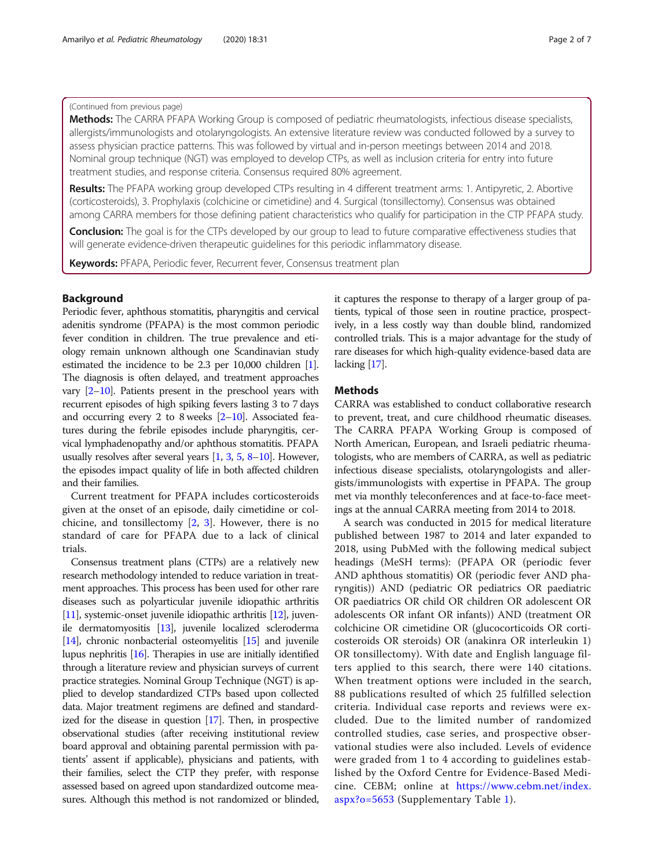# (Continued from previous page)

Methods: The CARRA PFAPA Working Group is composed of pediatric rheumatologists, infectious disease specialists, allergists/immunologists and otolaryngologists. An extensive literature review was conducted followed by a survey to assess physician practice patterns. This was followed by virtual and in-person meetings between 2014 and 2018. Nominal group technique (NGT) was employed to develop CTPs, as well as inclusion criteria for entry into future treatment studies, and response criteria. Consensus required 80% agreement.

Results: The PFAPA working group developed CTPs resulting in 4 different treatment arms: 1. Antipyretic, 2. Abortive (corticosteroids), 3. Prophylaxis (colchicine or cimetidine) and 4. Surgical (tonsillectomy). Consensus was obtained among CARRA members for those defining patient characteristics who qualify for participation in the CTP PFAPA study.

**Conclusion:** The goal is for the CTPs developed by our group to lead to future comparative effectiveness studies that will generate evidence-driven therapeutic guidelines for this periodic inflammatory disease.

Keywords: PFAPA, Periodic fever, Recurrent fever, Consensus treatment plan

# Background

Periodic fever, aphthous stomatitis, pharyngitis and cervical adenitis syndrome (PFAPA) is the most common periodic fever condition in children. The true prevalence and etiology remain unknown although one Scandinavian study estimated the incidence to be 2.3 per 10,000 children [[1](#page-5-0)]. The diagnosis is often delayed, and treatment approaches vary  $[2-10]$  $[2-10]$  $[2-10]$  $[2-10]$ . Patients present in the preschool years with recurrent episodes of high spiking fevers lasting 3 to 7 days and occurring every [2](#page-5-0) to 8 weeks  $[2-10]$  $[2-10]$  $[2-10]$ . Associated features during the febrile episodes include pharyngitis, cervical lymphadenopathy and/or aphthous stomatitis. PFAPA usually resolves after several years [\[1,](#page-5-0) [3,](#page-5-0) [5](#page-5-0), [8](#page-5-0)–[10](#page-5-0)]. However, the episodes impact quality of life in both affected children and their families.

Current treatment for PFAPA includes corticosteroids given at the onset of an episode, daily cimetidine or colchicine, and tonsillectomy [\[2](#page-5-0), [3\]](#page-5-0). However, there is no standard of care for PFAPA due to a lack of clinical trials.

Consensus treatment plans (CTPs) are a relatively new research methodology intended to reduce variation in treatment approaches. This process has been used for other rare diseases such as polyarticular juvenile idiopathic arthritis [[11](#page-5-0)], systemic-onset juvenile idiopathic arthritis [\[12\]](#page-5-0), juvenile dermatomyositis [\[13](#page-5-0)], juvenile localized scleroderma [[14](#page-5-0)], chronic nonbacterial osteomyelitis [\[15\]](#page-5-0) and juvenile lupus nephritis [\[16\]](#page-5-0). Therapies in use are initially identified through a literature review and physician surveys of current practice strategies. Nominal Group Technique (NGT) is applied to develop standardized CTPs based upon collected data. Major treatment regimens are defined and standardized for the disease in question [[17](#page-5-0)]. Then, in prospective observational studies (after receiving institutional review board approval and obtaining parental permission with patients' assent if applicable), physicians and patients, with their families, select the CTP they prefer, with response assessed based on agreed upon standardized outcome measures. Although this method is not randomized or blinded, it captures the response to therapy of a larger group of patients, typical of those seen in routine practice, prospectively, in a less costly way than double blind, randomized controlled trials. This is a major advantage for the study of rare diseases for which high-quality evidence-based data are lacking [\[17](#page-5-0)].

# **Methods**

CARRA was established to conduct collaborative research to prevent, treat, and cure childhood rheumatic diseases. The CARRA PFAPA Working Group is composed of North American, European, and Israeli pediatric rheumatologists, who are members of CARRA, as well as pediatric infectious disease specialists, otolaryngologists and allergists/immunologists with expertise in PFAPA. The group met via monthly teleconferences and at face-to-face meetings at the annual CARRA meeting from 2014 to 2018.

A search was conducted in 2015 for medical literature published between 1987 to 2014 and later expanded to 2018, using PubMed with the following medical subject headings (MeSH terms): (PFAPA OR (periodic fever AND aphthous stomatitis) OR (periodic fever AND pharyngitis)) AND (pediatric OR pediatrics OR paediatric OR paediatrics OR child OR children OR adolescent OR adolescents OR infant OR infants)) AND (treatment OR colchicine OR cimetidine OR (glucocorticoids OR corticosteroids OR steroids) OR (anakinra OR interleukin 1) OR tonsillectomy). With date and English language filters applied to this search, there were 140 citations. When treatment options were included in the search, 88 publications resulted of which 25 fulfilled selection criteria. Individual case reports and reviews were excluded. Due to the limited number of randomized controlled studies, case series, and prospective observational studies were also included. Levels of evidence were graded from 1 to 4 according to guidelines established by the Oxford Centre for Evidence-Based Medicine. CEBM; online at [https://www.cebm.net/index.](https://www.cebm.net/index.aspx?o=5653) [aspx?o=5653](https://www.cebm.net/index.aspx?o=5653) (Supplementary Table [1](#page-4-0)).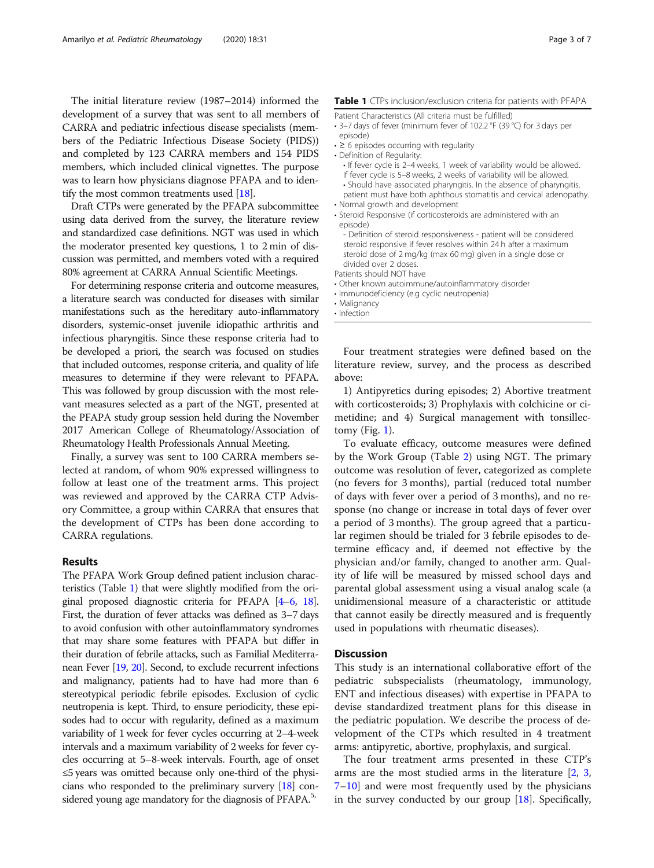The initial literature review (1987–2014) informed the development of a survey that was sent to all members of CARRA and pediatric infectious disease specialists (members of the Pediatric Infectious Disease Society (PIDS)) and completed by 123 CARRA members and 154 PIDS members, which included clinical vignettes. The purpose was to learn how physicians diagnose PFAPA and to identify the most common treatments used [[18\]](#page-5-0).

Draft CTPs were generated by the PFAPA subcommittee using data derived from the survey, the literature review and standardized case definitions. NGT was used in which the moderator presented key questions, 1 to 2 min of discussion was permitted, and members voted with a required 80% agreement at CARRA Annual Scientific Meetings.

For determining response criteria and outcome measures, a literature search was conducted for diseases with similar manifestations such as the hereditary auto-inflammatory disorders, systemic-onset juvenile idiopathic arthritis and infectious pharyngitis. Since these response criteria had to be developed a priori, the search was focused on studies that included outcomes, response criteria, and quality of life measures to determine if they were relevant to PFAPA. This was followed by group discussion with the most relevant measures selected as a part of the NGT, presented at the PFAPA study group session held during the November 2017 American College of Rheumatology/Association of Rheumatology Health Professionals Annual Meeting.

Finally, a survey was sent to 100 CARRA members selected at random, of whom 90% expressed willingness to follow at least one of the treatment arms. This project was reviewed and approved by the CARRA CTP Advisory Committee, a group within CARRA that ensures that the development of CTPs has been done according to CARRA regulations.

# Results

The PFAPA Work Group defined patient inclusion characteristics (Table 1) that were slightly modified from the original proposed diagnostic criteria for PFAPA [[4](#page-5-0)–[6,](#page-5-0) [18](#page-5-0)]. First, the duration of fever attacks was defined as 3–7 days to avoid confusion with other autoinflammatory syndromes that may share some features with PFAPA but differ in their duration of febrile attacks, such as Familial Mediterranean Fever [\[19,](#page-5-0) [20](#page-5-0)]. Second, to exclude recurrent infections and malignancy, patients had to have had more than 6 stereotypical periodic febrile episodes. Exclusion of cyclic neutropenia is kept. Third, to ensure periodicity, these episodes had to occur with regularity, defined as a maximum variability of 1 week for fever cycles occurring at 2–4-week intervals and a maximum variability of 2 weeks for fever cycles occurring at 5–8-week intervals. Fourth, age of onset ≤5 years was omitted because only one-third of the physicians who responded to the preliminary survery [\[18\]](#page-5-0) considered young age mandatory for the diagnosis of PFAPA.<sup>5,</sup>

Patient Characteristics (All criteria must be fulfilled)

- 3–7 days of fever (minimum fever of 102.2 °F (39 °C) for 3 days per episode)
- ≥ 6 episodes occurring with regularity
- Definition of Regularity:
	- If fever cycle is 2–4 weeks, 1 week of variability would be allowed. If fever cycle is 5–8 weeks, 2 weeks of variability will be allowed.
	- Should have associated pharyngitis. In the absence of pharyngitis, patient must have both aphthous stomatitis and cervical adenopathy.
- Normal growth and development
- Steroid Responsive (if corticosteroids are administered with an episode)
	- Definition of steroid responsiveness patient will be considered steroid responsive if fever resolves within 24 h after a maximum steroid dose of 2 mg/kg (max 60 mg) given in a single dose or divided over 2 doses.
- Patients should NOT have
- Other known autoimmune/autoinflammatory disorder
- Immunodeficiency (e.g cyclic neutropenia)
- Malignancy
- Infection

Four treatment strategies were defined based on the literature review, survey, and the process as described above:

1) Antipyretics during episodes; 2) Abortive treatment with corticosteroids; 3) Prophylaxis with colchicine or cimetidine; and 4) Surgical management with tonsillectomy (Fig.  $1$ ).

To evaluate efficacy, outcome measures were defined by the Work Group (Table [2\)](#page-3-0) using NGT. The primary outcome was resolution of fever, categorized as complete (no fevers for 3 months), partial (reduced total number of days with fever over a period of 3 months), and no response (no change or increase in total days of fever over a period of 3 months). The group agreed that a particular regimen should be trialed for 3 febrile episodes to determine efficacy and, if deemed not effective by the physician and/or family, changed to another arm. Quality of life will be measured by missed school days and parental global assessment using a visual analog scale (a unidimensional measure of a characteristic or attitude that cannot easily be directly measured and is frequently used in populations with rheumatic diseases).

## **Discussion**

This study is an international collaborative effort of the pediatric subspecialists (rheumatology, immunology, ENT and infectious diseases) with expertise in PFAPA to devise standardized treatment plans for this disease in the pediatric population. We describe the process of development of the CTPs which resulted in 4 treatment arms: antipyretic, abortive, prophylaxis, and surgical.

The four treatment arms presented in these CTP's arms are the most studied arms in the literature [\[2](#page-5-0), [3](#page-5-0), [7](#page-5-0)–[10](#page-5-0)] and were most frequently used by the physicians in the survey conducted by our group [\[18\]](#page-5-0). Specifically,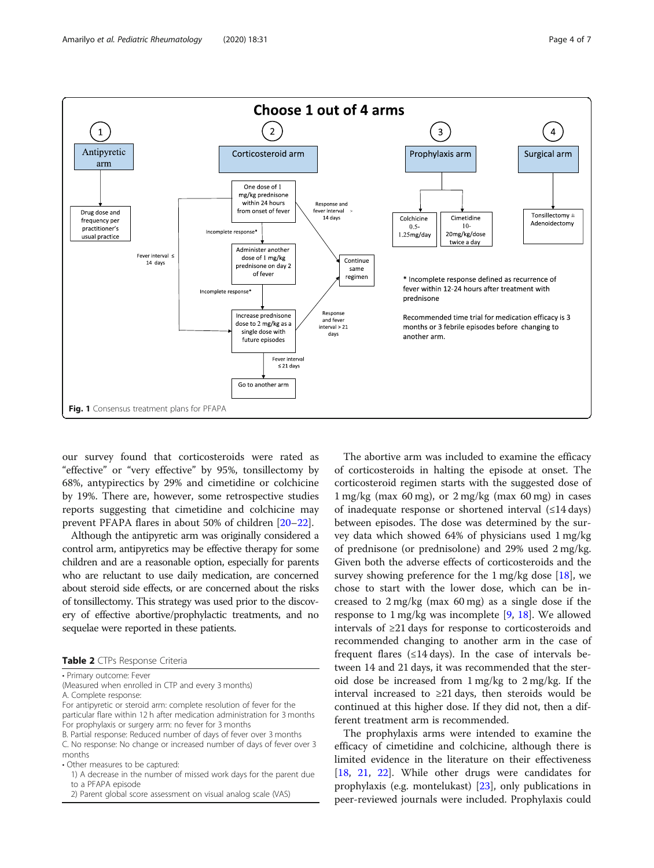

<span id="page-3-0"></span>

our survey found that corticosteroids were rated as "effective" or "very effective" by 95%, tonsillectomy by 68%, antypirectics by 29% and cimetidine or colchicine by 19%. There are, however, some retrospective studies reports suggesting that cimetidine and colchicine may prevent PFAPA flares in about 50% of children [\[20](#page-5-0)–[22\]](#page-5-0).

Although the antipyretic arm was originally considered a control arm, antipyretics may be effective therapy for some children and are a reasonable option, especially for parents who are reluctant to use daily medication, are concerned about steroid side effects, or are concerned about the risks of tonsillectomy. This strategy was used prior to the discovery of effective abortive/prophylactic treatments, and no sequelae were reported in these patients.

<sup>•</sup> Primary outcome: Fever

| (Measured when enrolled in CTP and every 3 months) |  |
|----------------------------------------------------|--|
|----------------------------------------------------|--|

A. Complete response:

- For antipyretic or steroid arm: complete resolution of fever for the particular flare within 12 h after medication administration for 3 months For prophylaxis or surgery arm: no fever for 3 months B. Partial response: Reduced number of days of fever over 3 months
- C. No response: No change or increased number of days of fever over 3 months

• Other measures to be captured:

- 1) A decrease in the number of missed work days for the parent due to a PFAPA episode
- 2) Parent global score assessment on visual analog scale (VAS)

The abortive arm was included to examine the efficacy of corticosteroids in halting the episode at onset. The corticosteroid regimen starts with the suggested dose of  $1 \text{ mg/kg}$  (max 60 mg), or  $2 \text{ mg/kg}$  (max 60 mg) in cases of inadequate response or shortened interval (≤14 days) between episodes. The dose was determined by the survey data which showed 64% of physicians used 1 mg/kg of prednisone (or prednisolone) and 29% used 2 mg/kg. Given both the adverse effects of corticosteroids and the survey showing preference for the  $1 \text{ mg/kg}$  dose [[18\]](#page-5-0), we chose to start with the lower dose, which can be increased to 2 mg/kg (max 60 mg) as a single dose if the response to 1 mg/kg was incomplete [\[9](#page-5-0), [18](#page-5-0)]. We allowed intervals of ≥21 days for response to corticosteroids and recommended changing to another arm in the case of frequent flares  $(\leq 14 \text{ days})$ . In the case of intervals between 14 and 21 days, it was recommended that the steroid dose be increased from 1 mg/kg to 2 mg/kg. If the interval increased to ≥21 days, then steroids would be continued at this higher dose. If they did not, then a different treatment arm is recommended.

The prophylaxis arms were intended to examine the efficacy of cimetidine and colchicine, although there is limited evidence in the literature on their effectiveness [[18,](#page-5-0) [21,](#page-5-0) [22\]](#page-5-0). While other drugs were candidates for prophylaxis (e.g. montelukast) [[23\]](#page-5-0), only publications in peer-reviewed journals were included. Prophylaxis could

Table 2 CTPs Response Criteria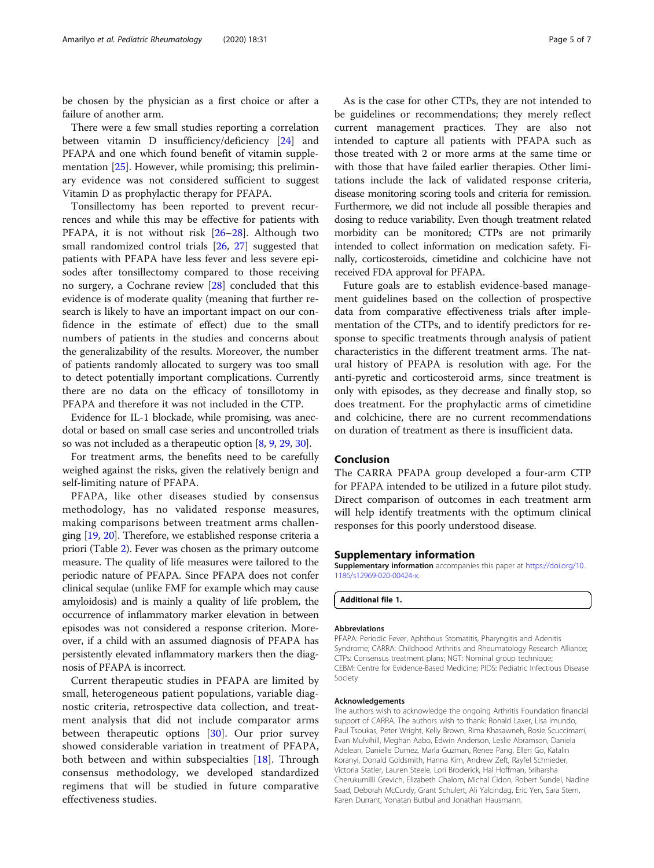<span id="page-4-0"></span>be chosen by the physician as a first choice or after a failure of another arm.

There were a few small studies reporting a correlation between vitamin D insufficiency/deficiency [\[24](#page-6-0)] and PFAPA and one which found benefit of vitamin supple-mentation [[25](#page-6-0)]. However, while promising; this preliminary evidence was not considered sufficient to suggest Vitamin D as prophylactic therapy for PFAPA.

Tonsillectomy has been reported to prevent recurrences and while this may be effective for patients with PFAPA, it is not without risk [[26](#page-6-0)–[28](#page-6-0)]. Although two small randomized control trials [[26,](#page-6-0) [27](#page-6-0)] suggested that patients with PFAPA have less fever and less severe episodes after tonsillectomy compared to those receiving no surgery, a Cochrane review [[28](#page-6-0)] concluded that this evidence is of moderate quality (meaning that further research is likely to have an important impact on our confidence in the estimate of effect) due to the small numbers of patients in the studies and concerns about the generalizability of the results. Moreover, the number of patients randomly allocated to surgery was too small to detect potentially important complications. Currently there are no data on the efficacy of tonsillotomy in PFAPA and therefore it was not included in the CTP.

Evidence for IL-1 blockade, while promising, was anecdotal or based on small case series and uncontrolled trials so was not included as a therapeutic option [[8](#page-5-0), [9,](#page-5-0) [29](#page-6-0), [30\]](#page-6-0).

For treatment arms, the benefits need to be carefully weighed against the risks, given the relatively benign and self-limiting nature of PFAPA.

PFAPA, like other diseases studied by consensus methodology, has no validated response measures, making comparisons between treatment arms challenging [[19](#page-5-0), [20\]](#page-5-0). Therefore, we established response criteria a priori (Table [2\)](#page-3-0). Fever was chosen as the primary outcome measure. The quality of life measures were tailored to the periodic nature of PFAPA. Since PFAPA does not confer clinical sequlae (unlike FMF for example which may cause amyloidosis) and is mainly a quality of life problem, the occurrence of inflammatory marker elevation in between episodes was not considered a response criterion. Moreover, if a child with an assumed diagnosis of PFAPA has persistently elevated inflammatory markers then the diagnosis of PFAPA is incorrect.

Current therapeutic studies in PFAPA are limited by small, heterogeneous patient populations, variable diagnostic criteria, retrospective data collection, and treatment analysis that did not include comparator arms between therapeutic options [[30\]](#page-6-0). Our prior survey showed considerable variation in treatment of PFAPA, both between and within subspecialties [[18](#page-5-0)]. Through consensus methodology, we developed standardized regimens that will be studied in future comparative effectiveness studies.

As is the case for other CTPs, they are not intended to be guidelines or recommendations; they merely reflect current management practices. They are also not intended to capture all patients with PFAPA such as those treated with 2 or more arms at the same time or with those that have failed earlier therapies. Other limitations include the lack of validated response criteria, disease monitoring scoring tools and criteria for remission. Furthermore, we did not include all possible therapies and dosing to reduce variability. Even though treatment related morbidity can be monitored; CTPs are not primarily intended to collect information on medication safety. Finally, corticosteroids, cimetidine and colchicine have not received FDA approval for PFAPA.

Future goals are to establish evidence-based management guidelines based on the collection of prospective data from comparative effectiveness trials after implementation of the CTPs, and to identify predictors for response to specific treatments through analysis of patient characteristics in the different treatment arms. The natural history of PFAPA is resolution with age. For the anti-pyretic and corticosteroid arms, since treatment is only with episodes, as they decrease and finally stop, so does treatment. For the prophylactic arms of cimetidine and colchicine, there are no current recommendations on duration of treatment as there is insufficient data.

# Conclusion

The CARRA PFAPA group developed a four-arm CTP for PFAPA intended to be utilized in a future pilot study. Direct comparison of outcomes in each treatment arm will help identify treatments with the optimum clinical responses for this poorly understood disease.

# Supplementary information

Supplementary information accompanies this paper at [https://doi.org/10.](https://doi.org/10.1186/s12969-020-00424-x) [1186/s12969-020-00424-x.](https://doi.org/10.1186/s12969-020-00424-x)

Additional file 1.

#### Abbreviations

PFAPA: Periodic Fever, Aphthous Stomatitis, Pharyngitis and Adenitis Syndrome; CARRA: Childhood Arthritis and Rheumatology Research Alliance; CTPs: Consensus treatment plans; NGT: Nominal group technique; CEBM: Centre for Evidence-Based Medicine; PIDS: Pediatric Infectious Disease Society

#### Acknowledgements

The authors wish to acknowledge the ongoing Arthritis Foundation financial support of CARRA. The authors wish to thank: Ronald Laxer, Lisa Imundo, Paul Tsoukas, Peter Wright, Kelly Brown, Rima Khasawneh, Rosie Scuccimarri, Evan Mulvihill, Meghan Aabo, Edwin Anderson, Leslie Abramson, Daniela Adelean, Danielle Dumez, Marla Guzman, Renee Pang, Ellen Go, Katalin Koranyi, Donald Goldsmith, Hanna Kim, Andrew Zeft, Rayfel Schnieder, Victoria Statler, Lauren Steele, Lori Broderick, Hal Hoffman, Sriharsha Cherukumilli Grevich, Elizabeth Chalom, Michal Cidon, Robert Sundel, Nadine Saad, Deborah McCurdy, Grant Schulert, Ali Yalcindag, Eric Yen, Sara Stern, Karen Durrant, Yonatan Butbul and Jonathan Hausmann.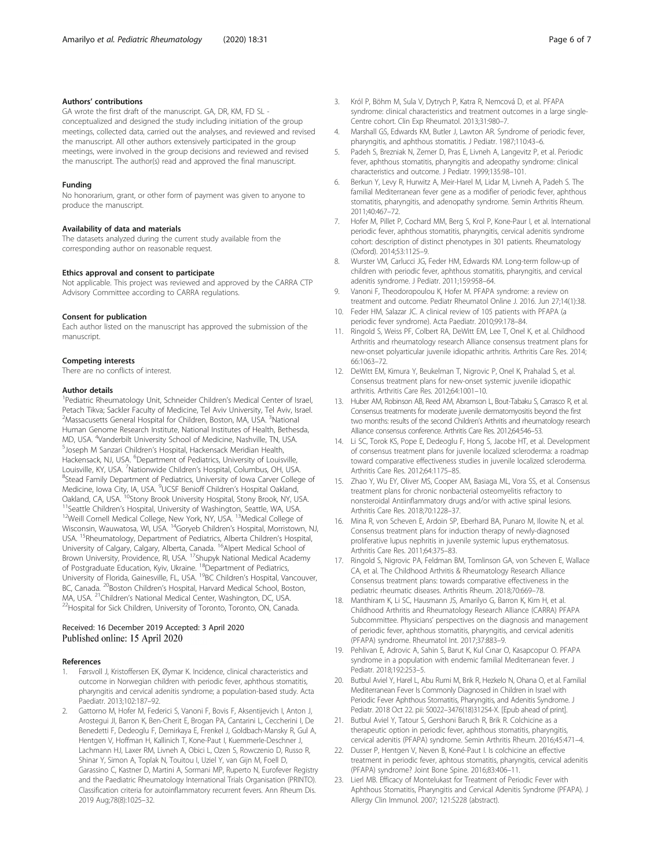### <span id="page-5-0"></span>Authors' contributions

GA wrote the first draft of the manuscript. GA, DR, KM, FD SL conceptualized and designed the study including initiation of the group meetings, collected data, carried out the analyses, and reviewed and revised the manuscript. All other authors extensively participated in the group meetings, were involved in the group decisions and reviewed and revised the manuscript. The author(s) read and approved the final manuscript.

#### Funding

No honorarium, grant, or other form of payment was given to anyone to produce the manuscript.

#### Availability of data and materials

The datasets analyzed during the current study available from the corresponding author on reasonable request.

# Ethics approval and consent to participate

Not applicable. This project was reviewed and approved by the CARRA CTP Advisory Committee according to CARRA regulations.

#### Consent for publication

Each author listed on the manuscript has approved the submission of the manuscript.

#### Competing interests

There are no conflicts of interest.

#### Author details

<sup>1</sup> Pediatric Rheumatology Unit, Schneider Children's Medical Center of Israel, Petach Tikva; Sackler Faculty of Medicine, Tel Aviv University, Tel Aviv, Israel. <sup>2</sup>Massacusetts General Hospital for Children, Boston, MA, USA. <sup>3</sup>National Human Genome Research Institute, National Institutes of Health, Bethesda, MD, USA. <sup>4</sup>Vanderbilt University School of Medicine, Nashville, TN, USA.<br><sup>5</sup> Joseph M Sanzari Children's Hospital Hackensack Meridian Hoalth <sup>5</sup> Joseph M Sanzari Children's Hospital, Hackensack Meridian Health, Hackensack, NJ, USA. <sup>6</sup>Department of Pediatrics, University of Louisville, Louisville, KY, USA. <sup>7</sup>Nationwide Children's Hospital, Columbus, OH, USA.<br><sup>8</sup>Stoad Family Department of Podiatrics, University of Jowe Cancer Collect <sup>8</sup>Stead Family Department of Pediatrics, University of Iowa Carver College of Medicine, Iowa City, IA, USA. <sup>9</sup>UCSF Benioff Children's Hospital Oakland, Oakland, CA, USA. <sup>10</sup>Stony Brook University Hospital, Stony Brook, NY, USA. <sup>11</sup>Seattle Children's Hospital, University of Washington, Seattle, WA, USA. <sup>12</sup>Weill Cornell Medical College, New York, NY, USA. <sup>13</sup>Medical Co Wisconsin, Wauwatosa, WI, USA. 14Goryeb Children's Hospital, Morristown, NJ, USA. 15Rheumatology, Department of Pediatrics, Alberta Children's Hospital, University of Calgary, Calgary, Alberta, Canada. 16Alpert Medical School of Brown University, Providence, RI, USA. 17Shupyk National Medical Academy of Postgraduate Education, Kyiv, Ukraine. 18Department of Pediatrics, University of Florida, Gainesville, FL, USA. <sup>19</sup>BC Children's Hospital, Vancouver, BC, Canada. <sup>20</sup>Boston Children's Hospital, Harvard Medical School, Boston, MA, USA. <sup>21</sup>Children's National Medical Center, Washington, DC, USA.<br><sup>22</sup>Hospital for Sick Children, University of Toronto, Toronto, ON, Canada.

## Received: 16 December 2019 Accepted: 3 April 2020 Published online: 15 April 2020

#### References

- 1. Førsvoll J, Kristoffersen EK, Øymar K. Incidence, clinical characteristics and outcome in Norwegian children with periodic fever, aphthous stomatitis, pharyngitis and cervical adenitis syndrome; a population-based study. Acta Paediatr. 2013;102:187–92.
- Gattorno M, Hofer M, Federici S, Vanoni F, Bovis F, Aksentijevich I, Anton J, Arostegui JI, Barron K, Ben-Cherit E, Brogan PA, Cantarini L, Ceccherini I, De Benedetti F, Dedeoglu F, Demirkaya E, Frenkel J, Goldbach-Mansky R, Gul A, Hentgen V, Hoffman H, Kallinich T, Kone-Paut I, Kuemmerle-Deschner J, Lachmann HJ, Laxer RM, Livneh A, Obici L, Ozen S, Rowczenio D, Russo R, Shinar Y, Simon A, Toplak N, Touitou I, Uziel Y, van Gijn M, Foell D, Garassino C, Kastner D, Martini A, Sormani MP, Ruperto N, Eurofever Registry and the Paediatric Rheumatology International Trials Organisation (PRINTO). Classification criteria for autoinflammatory recurrent fevers. Ann Rheum Dis. 2019 Aug;78(8):1025–32.
- 3. Król P, Böhm M, Sula V, Dytrych P, Katra R, Nemcová D, et al. PFAPA syndrome: clinical characteristics and treatment outcomes in a large single-Centre cohort. Clin Exp Rheumatol. 2013;31:980–7.
- 4. Marshall GS, Edwards KM, Butler J, Lawton AR. Syndrome of periodic fever, pharyngitis, and aphthous stomatitis. J Pediatr. 1987;110:43–6.
- 5. Padeh S, Brezniak N, Zemer D, Pras E, Livneh A, Langevitz P, et al. Periodic fever, aphthous stomatitis, pharyngitis and adeopathy syndrome: clinical characteristics and outcome. J Pediatr. 1999;135:98–101.
- 6. Berkun Y, Levy R, Hurwitz A, Meir-Harel M, Lidar M, Livneh A, Padeh S. The familial Mediterranean fever gene as a modifier of periodic fever, aphthous stomatitis, pharyngitis, and adenopathy syndrome. Semin Arthritis Rheum. 2011;40:467–72.
- 7. Hofer M, Pillet P, Cochard MM, Berg S, Krol P, Kone-Paur I, et al. International periodic fever, aphthous stomatitis, pharyngitis, cervical adenitis syndrome cohort: description of distinct phenotypes in 301 patients. Rheumatology (Oxford). 2014;53:1125–9.
- 8. Wurster VM, Carlucci JG, Feder HM, Edwards KM. Long-term follow-up of children with periodic fever, aphthous stomatitis, pharyngitis, and cervical adenitis syndrome. J Pediatr. 2011;159:958–64.
- 9. Vanoni F, Theodoropoulou K, Hofer M. PFAPA syndrome: a review on treatment and outcome. Pediatr Rheumatol Online J. 2016. Jun 27;14(1):38.
- 10. Feder HM, Salazar JC. A clinical review of 105 patients with PFAPA (a periodic fever syndrome). Acta Paediatr. 2010;99:178–84.
- 11. Ringold S, Weiss PF, Colbert RA, DeWitt EM, Lee T, Onel K, et al. Childhood Arthritis and rheumatology research Alliance consensus treatment plans for new-onset polyarticular juvenile idiopathic arthritis. Arthritis Care Res. 2014; 66:1063–72.
- 12. DeWitt EM, Kimura Y, Beukelman T, Nigrovic P, Onel K, Prahalad S, et al. Consensus treatment plans for new-onset systemic juvenile idiopathic arthritis. Arthritis Care Res. 2012;64:1001–10.
- 13. Huber AM, Robinson AB, Reed AM, Abramson L, Bout-Tabaku S, Carrasco R, et al. Consensus treatments for moderate juvenile dermatomyositis beyond the first two months: results of the second Children's Arthritis and rheumatology research Alliance consensus conference. Arthritis Care Res. 2012;64:546–53.
- 14. Li SC, Torok KS, Pope E, Dedeoglu F, Hong S, Jacobe HT, et al. Development of consensus treatment plans for juvenile localized scleroderma: a roadmap toward comparative effectiveness studies in juvenile localized scleroderma. Arthritis Care Res. 2012;64:1175–85.
- 15. Zhao Y, Wu EY, Oliver MS, Cooper AM, Basiaga ML, Vora SS, et al. Consensus treatment plans for chronic nonbacterial osteomyelitis refractory to nonsteroidal Antiinflammatory drugs and/or with active spinal lesions. Arthritis Care Res. 2018;70:1228–37.
- 16. Mina R, von Scheven E, Ardoin SP, Eberhard BA, Punaro M, Ilowite N, et al. Consensus treatment plans for induction therapy of newly-diagnosed proliferative lupus nephritis in juvenile systemic lupus erythematosus. Arthritis Care Res. 2011;64:375–83.
- 17. Ringold S, Nigrovic PA, Feldman BM, Tomlinson GA, von Scheven E, Wallace CA, et al. The Childhood Arthritis & Rheumatology Research Alliance Consensus treatment plans: towards comparative effectiveness in the pediatric rheumatic diseases. Arthritis Rheum. 2018;70:669–78.
- 18. Manthiram K, Li SC, Hausmann JS, Amarilyo G, Barron K, Kim H, et al. Childhood Arthritis and Rheumatology Research Alliance (CARRA) PFAPA Subcommittee. Physicians' perspectives on the diagnosis and management of periodic fever, aphthous stomatitis, pharyngitis, and cervical adenitis (PFAPA) syndrome. Rheumatol Int. 2017;37:883–9.
- 19. Pehlivan E, Adrovic A, Sahin S, Barut K, Kul Cınar O, Kasapcopur O. PFAPA syndrome in a population with endemic familial Mediterranean fever. J Pediatr. 2018;192:253–5.
- 20. Butbul Aviel Y, Harel L, Abu Rumi M, Brik R, Hezkelo N, Ohana O, et al. Familial Mediterranean Fever Is Commonly Diagnosed in Children in Israel with Periodic Fever Aphthous Stomatitis, Pharyngitis, and Adenitis Syndrome. J Pediatr. 2018 Oct 22. pii: S0022–3476(18)31254-X. [Epub ahead of print].
- 21. Butbul Aviel Y, Tatour S, Gershoni Baruch R, Brik R. Colchicine as a therapeutic option in periodic fever, aphthous stomatitis, pharyngitis, cervical adenitis (PFAPA) syndrome. Semin Arthritis Rheum. 2016;45:471–4.
- 22. Dusser P, Hentgen V, Neven B, Koné-Paut I. Is colchicine an effective treatment in periodic fever, aphtous stomatitis, pharyngitis, cervical adenitis (PFAPA) syndrome? Joint Bone Spine. 2016;83:406–11.
- 23. Lierl MB. Efficacy of Montelukast for Treatment of Periodic Fever with Aphthous Stomatitis, Pharyngitis and Cervical Adenitis Syndrome (PFAPA). J Allergy Clin Immunol. 2007; 121:S228 (abstract).